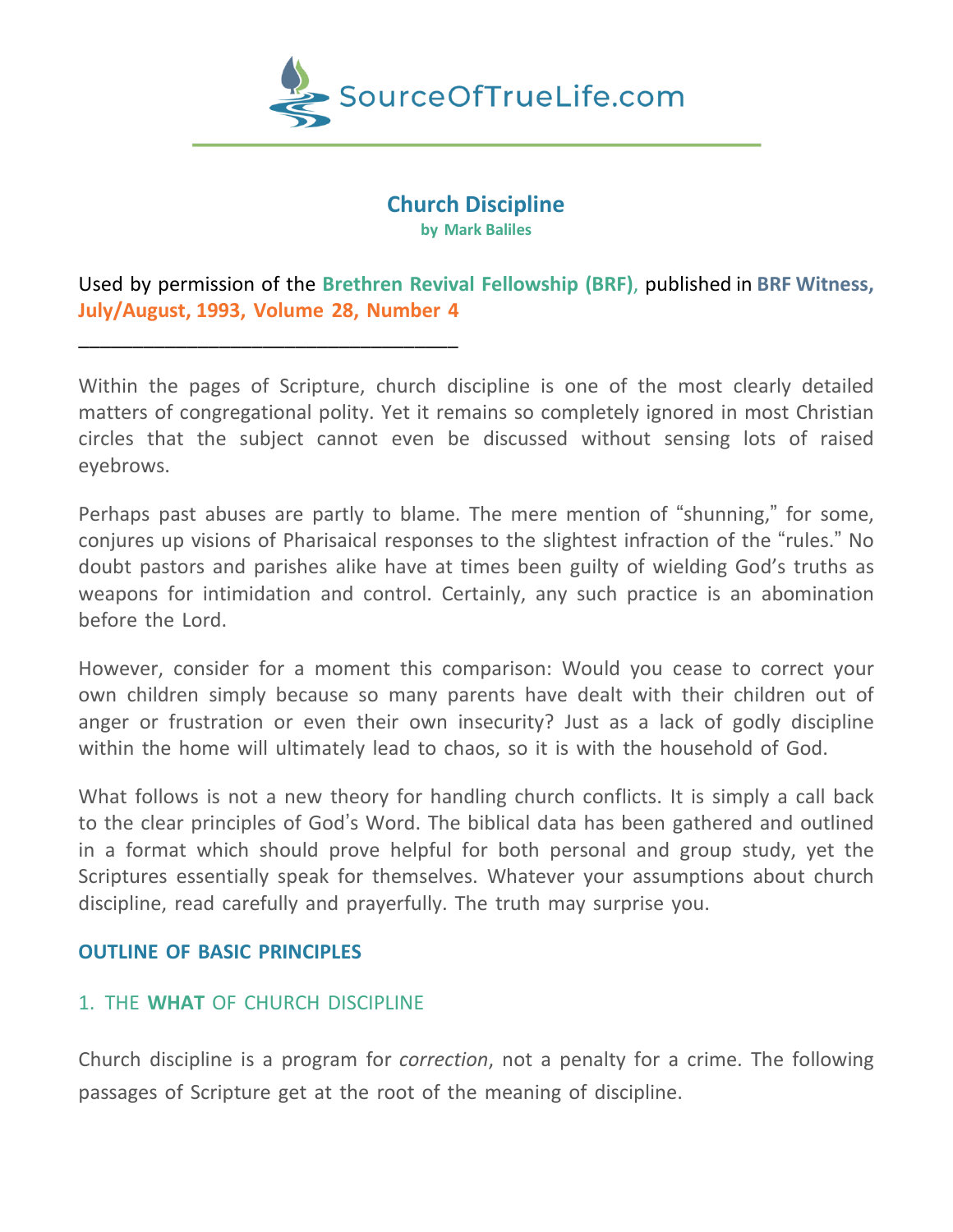

# **Church Discipline by Mark Baliles**

Used by permission of the **Brethren Revival Fellowship (BRF)**, published in **BRF Witness, July/August, 1993, Volume 28, Number 4**

Within the pages of Scripture, church discipline is one of the most clearly detailed matters of congregational polity. Yet it remains so completely ignored in most Christian circles that the subject cannot even be discussed without sensing lots of raised eyebrows.

Perhaps past abuses are partly to blame. The mere mention of "shunning," for some, conjures up visions of Pharisaical responses to the slightest infraction of the "rules." No doubt pastors and parishes alike have at times been guilty of wielding God's truths as weapons for intimidation and control. Certainly, any such practice is an abomination before the Lord.

However, consider for a moment this comparison: Would you cease to correct your own children simply because so many parents have dealt with their children out of anger or frustration or even their own insecurity? Just as a lack of godly discipline within the home will ultimately lead to chaos, so it is with the household of God.

What follows is not a new theory for handling church conflicts. It is simply a call back to the clear principles of God's Word. The biblical data has been gathered and outlined in a format which should prove helpful for both personal and group study, yet the Scriptures essentially speak for themselves. Whatever your assumptions about church discipline, read carefully and prayerfully. The truth may surprise you.

#### **OUTLINE OF BASIC PRINCIPLES**

# 1. THE **WHAT** OF CHURCH DISCIPLINE

\_\_\_\_\_\_\_\_\_\_\_\_\_\_\_\_\_\_\_\_\_\_\_\_\_\_\_\_\_\_\_\_\_\_\_

Church discipline is a program for *correction*, not a penalty for a crime. The following passages of Scripture get at the root of the meaning of discipline.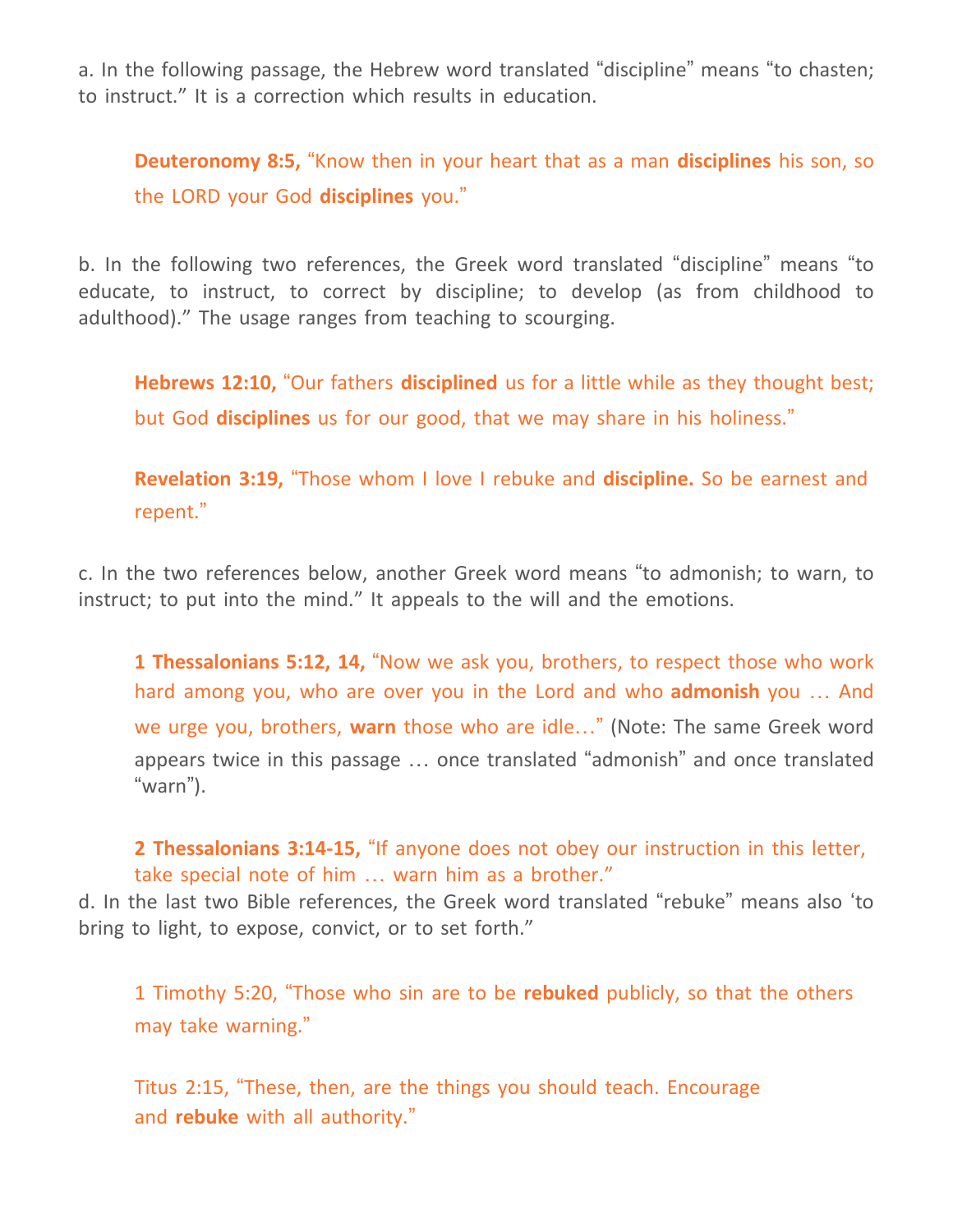a. In the following passage, the Hebrew word translated "discipline" means "to chasten; to instruct." It is a correction which results in education.

**Deuteronomy 8:5,** "Know then in your heart that as a man **disciplines** his son, so the LORD your God **disciplines** you."

b. In the following two references, the Greek word translated "discipline" means "to educate, to instruct, to correct by discipline; to develop (as from childhood to adulthood)." The usage ranges from teaching to scourging.

**Hebrews 12:10,** "Our fathers **disciplined** us for a little while as they thought best; but God **disciplines** us for our good, that we may share in his holiness."

**Revelation 3:19,** "Those whom I love I rebuke and **discipline.** So be earnest and repent."

c. In the two references below, another Greek word means "to admonish; to warn, to instruct; to put into the mind." It appeals to the will and the emotions.

**1 Thessalonians 5:12, 14,** "Now we ask you, brothers, to respect those who work hard among you, who are over you in the Lord and who **admonish** you … And we urge you, brothers, **warn** those who are idle…" (Note: The same Greek word appears twice in this passage … once translated "admonish" and once translated "warn").

**2 Thessalonians 3:14-15,** "If anyone does not obey our instruction in this letter, take special note of him … warn him as a brother."

d. In the last two Bible references, the Greek word translated "rebuke" means also 'to bring to light, to expose, convict, or to set forth."

1 Timothy 5:20, "Those who sin are to be **rebuked** publicly, so that the others may take warning."

Titus 2:15, "These, then, are the things you should teach. Encourage and **rebuke** with all authority."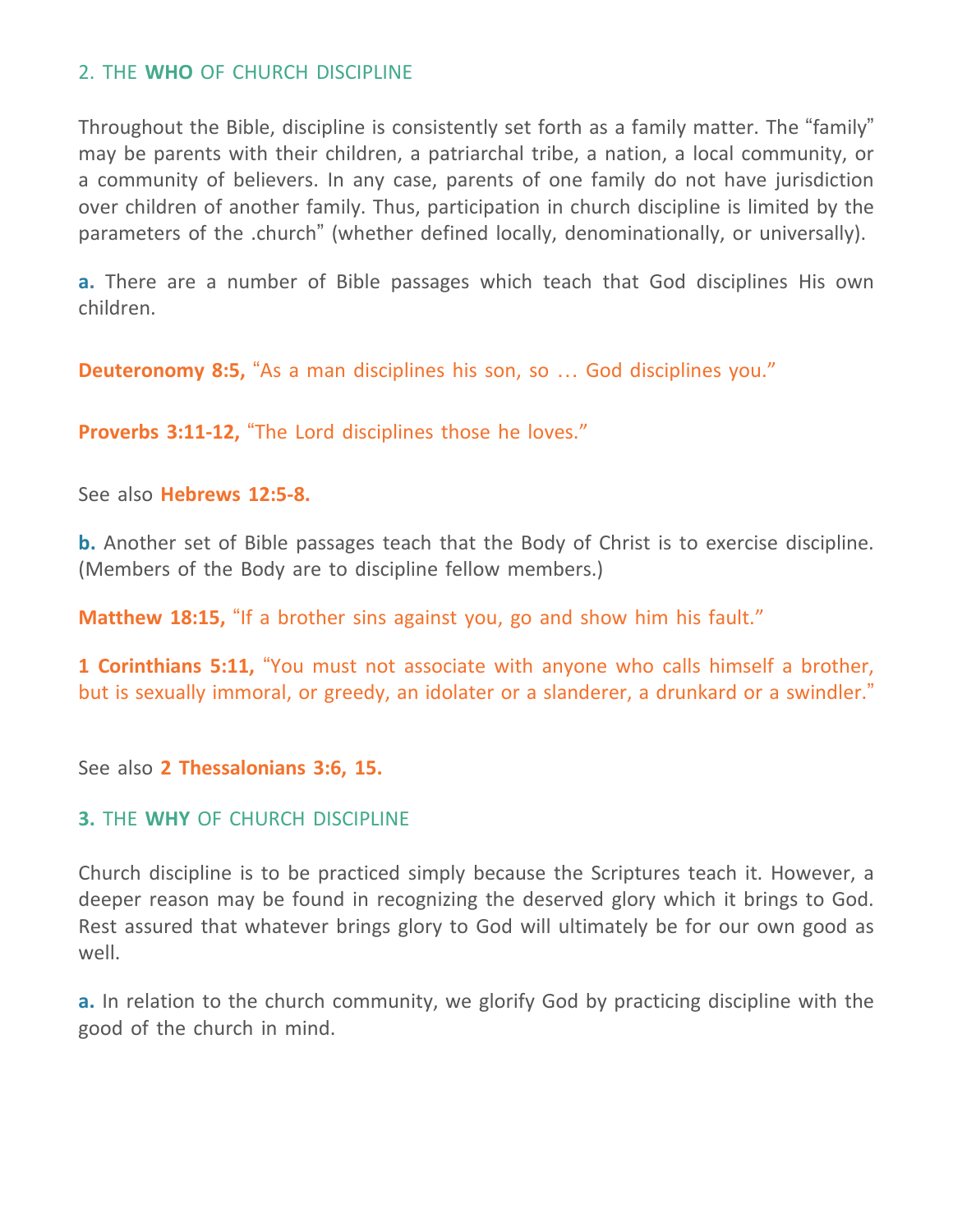### 2. THE **WHO** OF CHURCH DISCIPLINE

Throughout the Bible, discipline is consistently set forth as a family matter. The "family" may be parents with their children, a patriarchal tribe, a nation, a local community, or a community of believers. In any case, parents of one family do not have jurisdiction over children of another family. Thus, participation in church discipline is limited by the parameters of the .church" (whether defined locally, denominationally, or universally).

**a.** There are a number of Bible passages which teach that God disciplines His own children.

**Deuteronomy 8:5,** "As a man disciplines his son, so … God disciplines you."

**Proverbs 3:11-12,** "The Lord disciplines those he loves."

See also **Hebrews 12:5-8.**

**b.** Another set of Bible passages teach that the Body of Christ is to exercise discipline. (Members of the Body are to discipline fellow members.)

**Matthew 18:15,** "If a brother sins against you, go and show him his fault."

**1 Corinthians 5:11,** "You must not associate with anyone who calls himself a brother, but is sexually immoral, or greedy, an idolater or a slanderer, a drunkard or a swindler."

See also **2 Thessalonians 3:6, 15.**

# **3.** THE **WHY** OF CHURCH DISCIPLINE

Church discipline is to be practiced simply because the Scriptures teach it. However, a deeper reason may be found in recognizing the deserved glory which it brings to God. Rest assured that whatever brings glory to God will ultimately be for our own good as well.

**a.** In relation to the church community, we glorify God by practicing discipline with the good of the church in mind.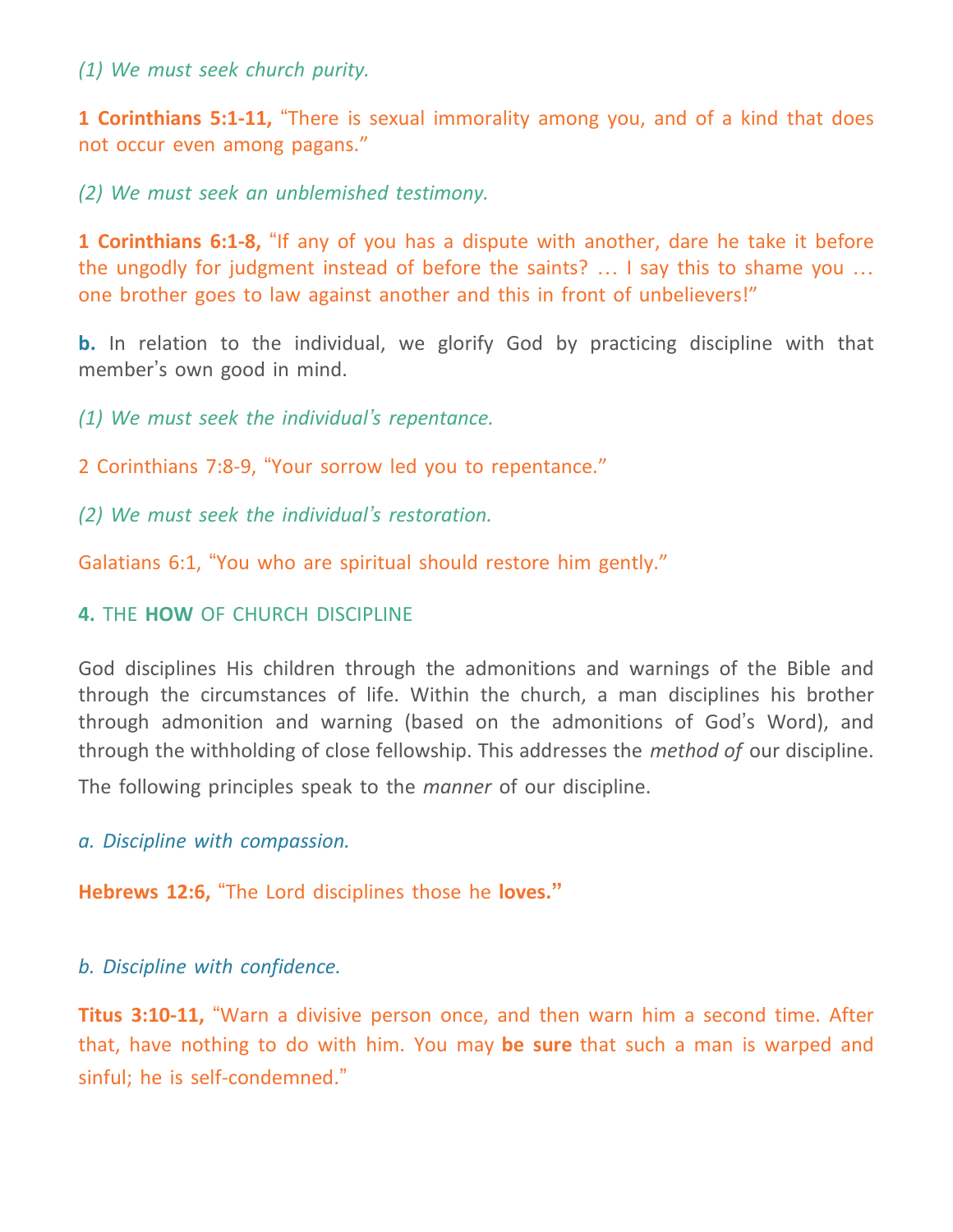*(1) We must seek church purity.*

**1 Corinthians 5:1-11,** "There is sexual immorality among you, and of a kind that does not occur even among pagans."

*(2) We must seek an unblemished testimony.*

**1 Corinthians 6:1-8,** "If any of you has a dispute with another, dare he take it before the ungodly for judgment instead of before the saints? … I say this to shame you … one brother goes to law against another and this in front of unbelievers!"

**b.** In relation to the individual, we glorify God by practicing discipline with that member's own good in mind.

*(1) We must seek the individual's repentance.*

2 Corinthians 7:8-9, "Your sorrow led you to repentance."

*(2) We must seek the individual's restoration.*

Galatians 6:1, "You who are spiritual should restore him gently."

# **4.** THE **HOW** OF CHURCH DISCIPLINE

God disciplines His children through the admonitions and warnings of the Bible and through the circumstances of life. Within the church, a man disciplines his brother through admonition and warning (based on the admonitions of God's Word), and through the withholding of close fellowship. This addresses the *method of* our discipline.

The following principles speak to the *manner* of our discipline.

*a. Discipline with compassion.*

**Hebrews 12:6,** "The Lord disciplines those he **loves."**

*b. Discipline with confidence.*

**Titus 3:10-11,** "Warn a divisive person once, and then warn him a second time. After that, have nothing to do with him. You may **be sure** that such a man is warped and sinful; he is self-condemned."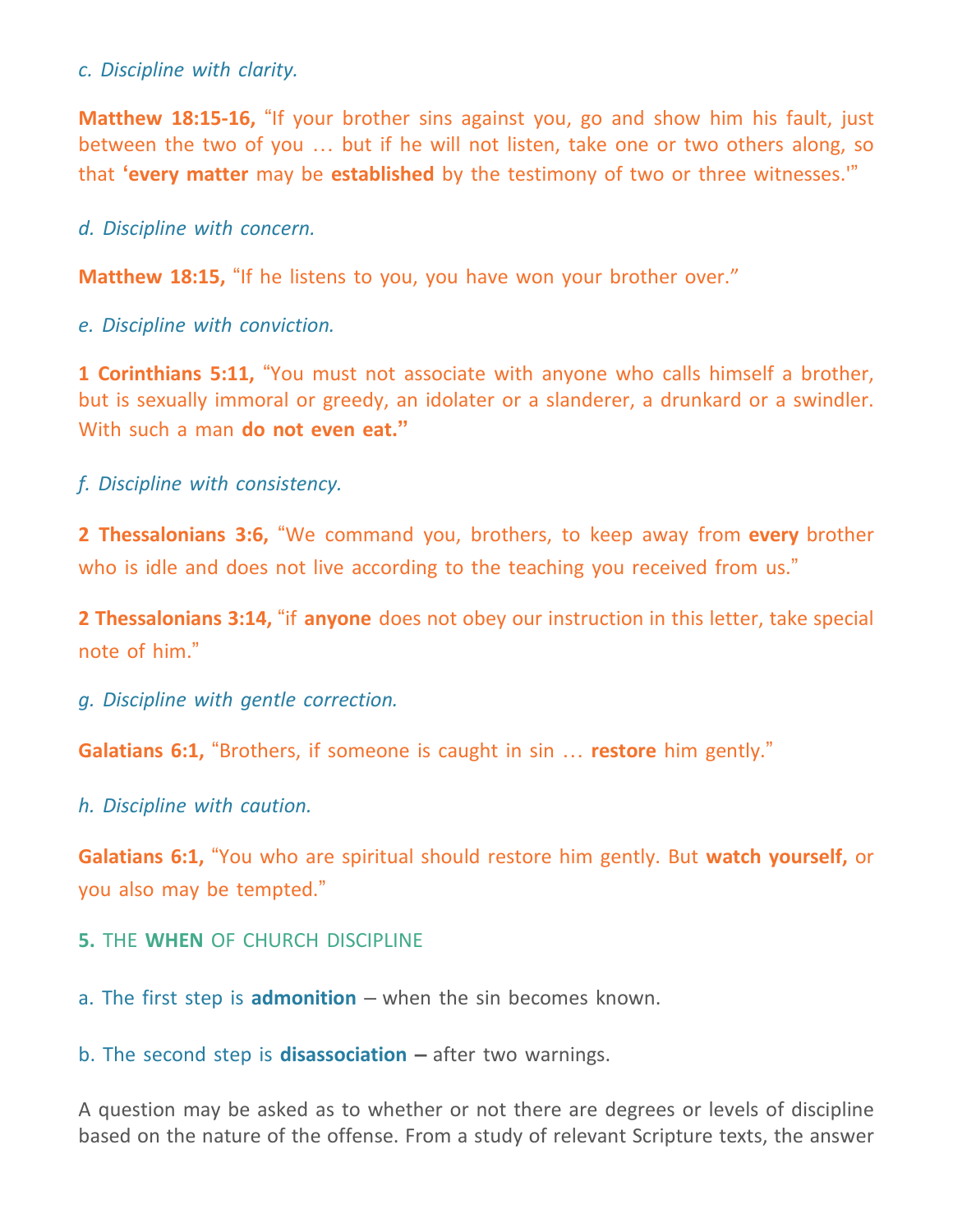#### *c. Discipline with clarity.*

**Matthew 18:15-16,** "If your brother sins against you, go and show him his fault, just between the two of you … but if he will not listen, take one or two others along, so that **'every matter** may be **established** by the testimony of two or three witnesses.'"

*d. Discipline with concern.*

**Matthew 18:15,** "If he listens to you, you have won your brother over."

*e. Discipline with conviction.*

**1 Corinthians 5:11,** "You must not associate with anyone who calls himself a brother, but is sexually immoral or greedy, an idolater or a slanderer, a drunkard or a swindler. With such a man **do not even eat."**

*f. Discipline with consistency.*

**2 Thessalonians 3:6,** "We command you, brothers, to keep away from **every** brother who is idle and does not live according to the teaching you received from us."

**2 Thessalonians 3:14,** "if **anyone** does not obey our instruction in this letter, take special note of him."

*g. Discipline with gentle correction.*

**Galatians 6:1,** "Brothers, if someone is caught in sin … **restore** him gently."

*h. Discipline with caution.*

**Galatians 6:1,** "You who are spiritual should restore him gently. But **watch yourself,** or you also may be tempted."

**5.** THE **WHEN** OF CHURCH DISCIPLINE

a. The first step is **admonition** – when the sin becomes known.

b. The second step is **disassociation –** after two warnings.

A question may be asked as to whether or not there are degrees or levels of discipline based on the nature of the offense. From a study of relevant Scripture texts, the answer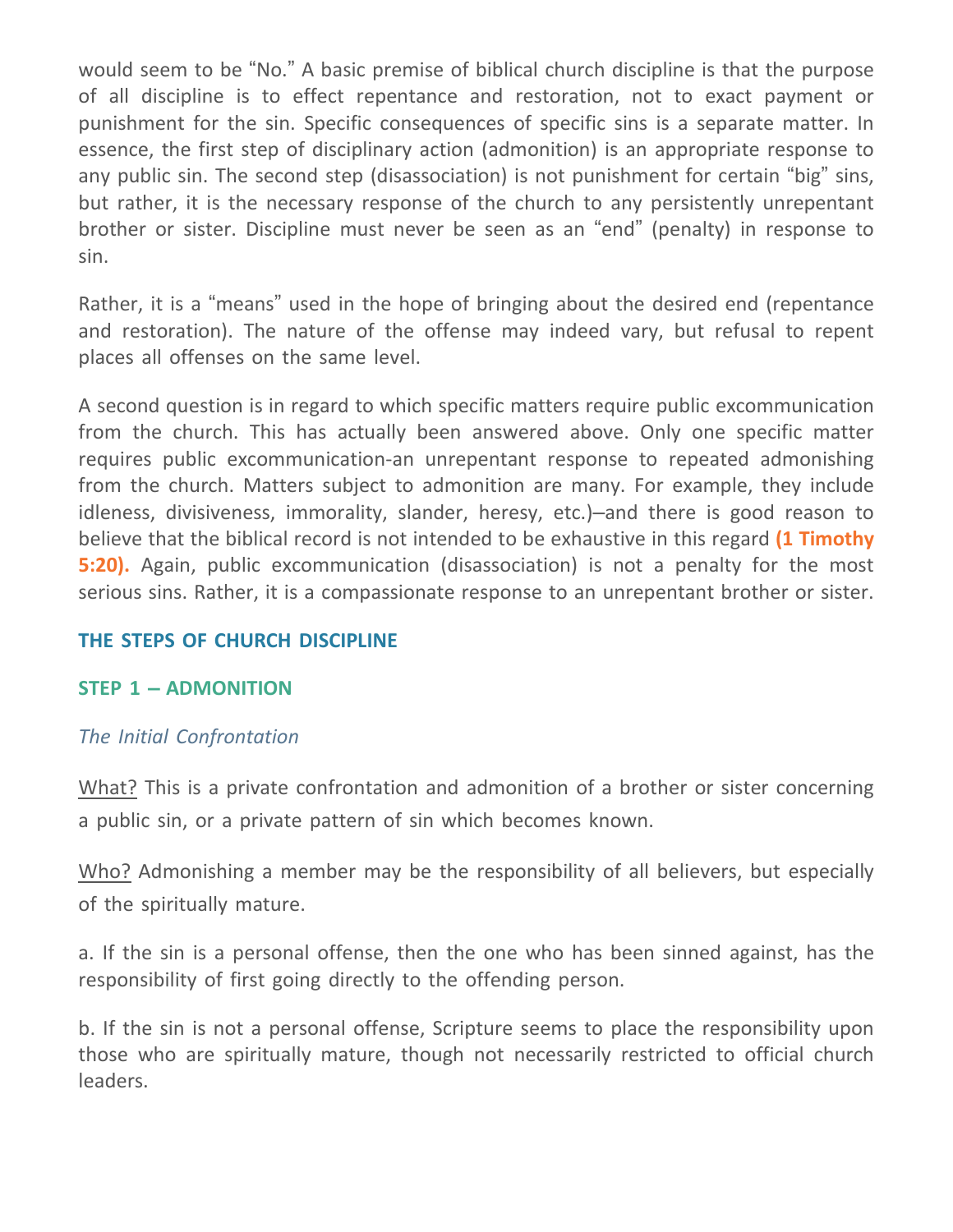would seem to be "No." A basic premise of biblical church discipline is that the purpose of all discipline is to effect repentance and restoration, not to exact payment or punishment for the sin. Specific consequences of specific sins is a separate matter. In essence, the first step of disciplinary action (admonition) is an appropriate response to any public sin. The second step (disassociation) is not punishment for certain "big" sins, but rather, it is the necessary response of the church to any persistently unrepentant brother or sister. Discipline must never be seen as an "end" (penalty) in response to sin.

Rather, it is a "means" used in the hope of bringing about the desired end (repentance and restoration). The nature of the offense may indeed vary, but refusal to repent places all offenses on the same level.

A second question is in regard to which specific matters require public excommunication from the church. This has actually been answered above. Only one specific matter requires public excommunication-an unrepentant response to repeated admonishing from the church. Matters subject to admonition are many. For example, they include idleness, divisiveness, immorality, slander, heresy, etc.)–and there is good reason to believe that the biblical record is not intended to be exhaustive in this regard **(1 Timothy 5:20).** Again, public excommunication (disassociation) is not a penalty for the most serious sins. Rather, it is a compassionate response to an unrepentant brother or sister.

# **THE STEPS OF CHURCH DISCIPLINE**

#### **STEP 1 – ADMONITION**

# *The Initial Confrontation*

What? This is a private confrontation and admonition of a brother or sister concerning a public sin, or a private pattern of sin which becomes known.

Who? Admonishing a member may be the responsibility of all believers, but especially of the spiritually mature.

a. If the sin is a personal offense, then the one who has been sinned against, has the responsibility of first going directly to the offending person.

b. If the sin is not a personal offense, Scripture seems to place the responsibility upon those who are spiritually mature, though not necessarily restricted to official church leaders.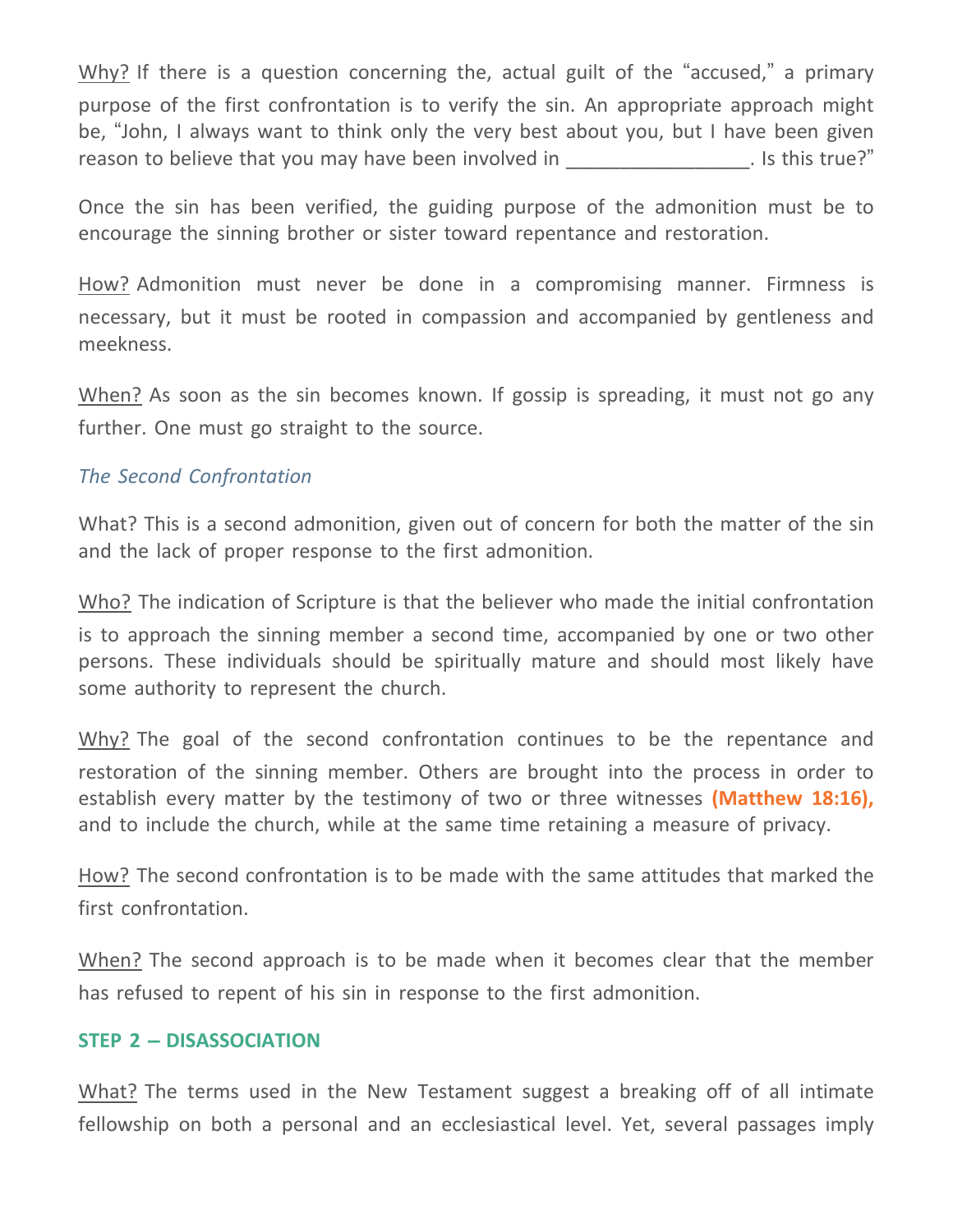Why? If there is a question concerning the, actual guilt of the "accused," a primary purpose of the first confrontation is to verify the sin. An appropriate approach might be, "John, I always want to think only the very best about you, but I have been given reason to believe that you may have been involved in The same of the set of this true?"

Once the sin has been verified, the guiding purpose of the admonition must be to encourage the sinning brother or sister toward repentance and restoration.

How? Admonition must never be done in a compromising manner. Firmness is necessary, but it must be rooted in compassion and accompanied by gentleness and meekness.

When? As soon as the sin becomes known. If gossip is spreading, it must not go any further. One must go straight to the source.

### *The Second Confrontation*

What? This is a second admonition, given out of concern for both the matter of the sin and the lack of proper response to the first admonition.

Who? The indication of Scripture is that the believer who made the initial confrontation is to approach the sinning member a second time, accompanied by one or two other persons. These individuals should be spiritually mature and should most likely have some authority to represent the church.

Why? The goal of the second confrontation continues to be the repentance and restoration of the sinning member. Others are brought into the process in order to establish every matter by the testimony of two or three witnesses **(Matthew 18:16),** and to include the church, while at the same time retaining a measure of privacy.

How? The second confrontation is to be made with the same attitudes that marked the first confrontation.

When? The second approach is to be made when it becomes clear that the member has refused to repent of his sin in response to the first admonition.

#### **STEP 2 – DISASSOCIATION**

What? The terms used in the New Testament suggest a breaking off of all intimate fellowship on both a personal and an ecclesiastical level. Yet, several passages imply